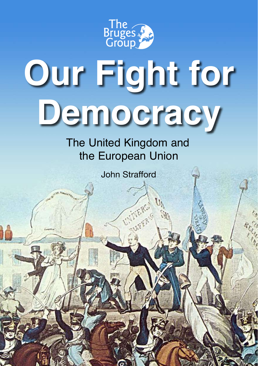

# **Our Fight for Democracy**

The United Kingdom and the European Union

John Strafford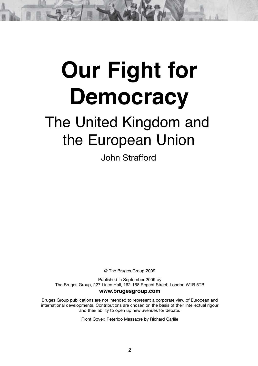# **Our Fight for Democracy**

# The United Kingdom and the European Union

John Strafford

© The Bruges Group 2009

Published in September 2009 by The Bruges Group, 227 Linen Hall, 162-168 Regent Street, London W1B 5TB

#### **www.brugesgroup.com**

Bruges Group publications are not intended to represent a corporate view of European and international developments. Contributions are chosen on the basis of their intellectual rigour and their ability to open up new avenues for debate.

Front Cover: Peterloo Massacre by Richard Carlile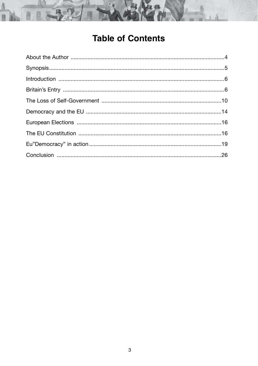

# **Table of Contents**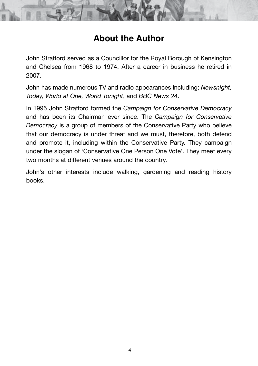#### **About the Author**

John Strafford served as a Councillor for the Royal Borough of Kensington and Chelsea from 1968 to 1974. After a career in business he retired in 2007.

John has made numerous TV and radio appearances including; *Newsnight, Today, World at One, World Tonight*, and *BBC News 24*.

In 1995 John Strafford formed the *Campaign for Conservative Democracy*  and has been its Chairman ever since. The *Campaign for Conservative Democracy* is a group of members of the Conservative Party who believe that our democracy is under threat and we must, therefore, both defend and promote it, including within the Conservative Party. They campaign under the slogan of 'Conservative One Person One Vote'. They meet every two months at different venues around the country.

John's other interests include walking, gardening and reading history books.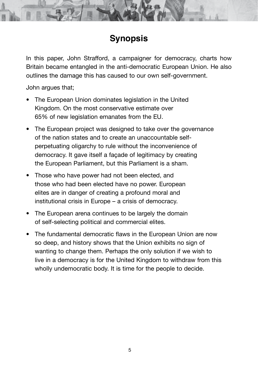## **Synopsis**

In this paper, John Strafford, a campaigner for democracy, charts how Britain became entangled in the anti-democratic European Union. He also outlines the damage this has caused to our own self-government.

John argues that;

- The European Union dominates legislation in the United Kingdom. On the most conservative estimate over 65% of new legislation emanates from the EU.
- The European project was designed to take over the governance of the nation states and to create an unaccountable selfperpetuating oligarchy to rule without the inconvenience of democracy. It gave itself a façade of legitimacy by creating the European Parliament, but this Parliament is a sham.
- Those who have power had not been elected, and those who had been elected have no power. European elites are in danger of creating a profound moral and institutional crisis in Europe – a crisis of democracy.
- The European arena continues to be largely the domain of self-selecting political and commercial elites.
- The fundamental democratic flaws in the European Union are now so deep, and history shows that the Union exhibits no sign of wanting to change them. Perhaps the only solution if we wish to live in a democracy is for the United Kingdom to withdraw from this wholly undemocratic body. It is time for the people to decide.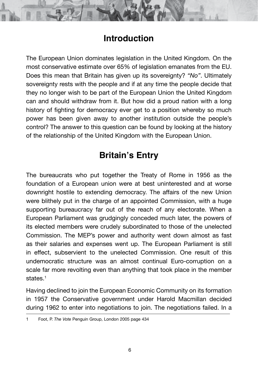#### **Introduction**

The European Union dominates legislation in the United Kingdom. On the most conservative estimate over 65% of legislation emanates from the EU. Does this mean that Britain has given up its sovereignty? *"No"*. Ultimately sovereignty rests with the people and if at any time the people decide that they no longer wish to be part of the European Union the United Kingdom can and should withdraw from it. But how did a proud nation with a long history of fighting for democracy ever get to a position whereby so much power has been given away to another institution outside the people's control? The answer to this question can be found by looking at the history of the relationship of the United Kingdom with the European Union.

### **Britain's Entry**

The bureaucrats who put together the Treaty of Rome in 1956 as the foundation of a European union were at best uninterested and at worse downright hostile to extending democracy. The affairs of the new Union were blithely put in the charge of an appointed Commission, with a huge supporting bureaucracy far out of the reach of any electorate. When a European Parliament was grudgingly conceded much later, the powers of its elected members were crudely subordinated to those of the unelected Commission. The MEP's power and authority went down almost as fast as their salaries and expenses went up. The European Parliament is still in effect, subservient to the unelected Commission. One result of this undemocratic structure was an almost continual Euro-corruption on a scale far more revolting even than anything that took place in the member states.<sup>1</sup>

Having declined to join the European Economic Community on its formation in 1957 the Conservative government under Harold Macmillan decided during 1962 to enter into negotiations to join. The negotiations failed. In a

<sup>1</sup> Foot, P. *The Vote* Penguin Group, London 2005 page 434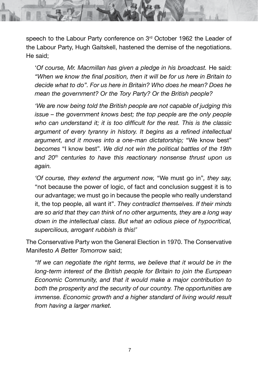speech to the Labour Party conference on 3<sup>rd</sup> October 1962 the Leader of the Labour Party, Hugh Gaitskell, hastened the demise of the negotiations. He said;

'*Of course, Mr. Macmillan has given a pledge in his broadcast.* He said: *"When we know the final position, then it will be for us here in Britain to decide what to do". For us here in Britain? Who does he mean? Does he mean the government? Or the Tory Party? Or the British people?*

*'We are now being told the British people are not capable of judging this issue – the government knows best; the top people are the only people who can understand it; it is too difficult for the rest. This is the classic argument of every tyranny in history. It begins as a refined intellectual argument, and it moves into a one-man dictatorship;* "We know best" *becomes* "I know best"*. We did not win the political battles of the 19th and 20th centuries to have this reactionary nonsense thrust upon us again.*

*'Of course, they extend the argument now,* "We must go in"*, they say,*  "not because the power of logic, of fact and conclusion suggest it is to our advantage; we must go in because the people who really understand it, the top people, all want it". *They contradict themselves. If their minds are so arid that they can think of no other arguments, they are a long way down in the intellectual class. But what an odious piece of hypocritical, supercilious, arrogant rubbish is this!'*

The Conservative Party won the General Election in 1970. The Conservative Manifesto *A Better Tomorrow* said;

*"If we can negotiate the right terms, we believe that it would be in the long-term interest of the British people for Britain to join the European Economic Community, and that it would make a major contribution to both the prosperity and the security of our country. The opportunities are immense. Economic growth and a higher standard of living would result from having a larger market.*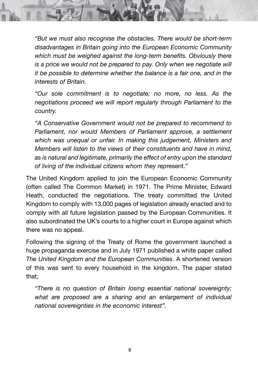*"But we must also recognise the obstacles. There would be short-term disadvantages in Britain going into the European Economic Community which must be weighed against the long-term benefits. Obviously there is a price we would not be prepared to pay. Only when we negotiate will it be possible to determine whether the balance is a fair one, and in the interests of Britain.*

*"Our sole commitment is to negotiate; no more, no less. As the negotiations proceed we will report regularly through Parliament to the country.*

*"A Conservative Government would not be prepared to recommend to Parliament, nor would Members of Parliament approve, a settlement which was unequal or unfair. In making this judgement, Ministers and Members will listen to the views of their constituents and have in mind, as is natural and legitimate, primarily the effect of entry upon the standard of living of the individual citizens whom they rep*resent."

The United Kingdom applied to join the European Economic Community (often called The Common Market) in 1971. The Prime Minister, Edward Heath, conducted the negotiations. The treaty committed the United Kingdom to comply with 13,000 pages of legislation already enacted and to comply with all future legislation passed by the European Communities. It also subordinated the UK's courts to a higher court in Europe against which there was no appeal.

Following the signing of the Treaty of Rome the government launched a huge propaganda exercise and in July 1971 published a white paper called *The United Kingdom and the European Communities*. A shortened version of this was sent to every household in the kingdom. The paper stated that;

*"There is no question of Britain losing essential national sovereignty; what are proposed are a sharing and an enlargement of individual national sovereignties in the economic interest".*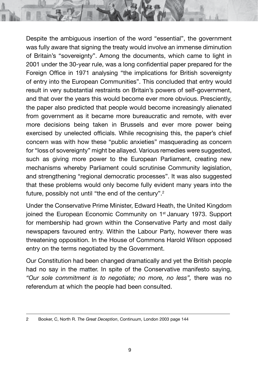Despite the ambiguous insertion of the word "essential", the government was fully aware that signing the treaty would involve an immense diminution of Britain's "sovereignty". Among the documents, which came to light in 2001 under the 30-year rule, was a long confidential paper prepared for the Foreign Office in 1971 analysing "the implications for British sovereignty of entry into the European Communities". This concluded that entry would result in very substantial restraints on Britain's powers of self-government, and that over the years this would become ever more obvious. Presciently, the paper also predicted that people would become increasingly alienated from government as it became more bureaucratic and remote, with ever more decisions being taken in Brussels and ever more power being exercised by unelected officials. While recognising this, the paper's chief concern was with how these "public anxieties" masquerading as concern for "loss of sovereignty" might be allayed. Various remedies were suggested, such as giving more power to the European Parliament, creating new mechanisms whereby Parliament could scrutinise Community legislation, and strengthening "regional democratic processes". It was also suggested that these problems would only become fully evident many years into the future, possibly not until "the end of the century".<sup>2</sup>

Under the Conservative Prime Minister, Edward Heath, the United Kingdom joined the European Economic Community on 1<sup>st</sup> January 1973. Support for membership had grown within the Conservative Party and most daily newspapers favoured entry. Within the Labour Party, however there was threatening opposition. In the House of Commons Harold Wilson opposed entry on the terms negotiated by the Government.

Our Constitution had been changed dramatically and yet the British people had no say in the matter. In spite of the Conservative manifesto saying, *"Our sole commitment is to negotiate; no more, no less",* there was no referendum at which the people had been consulted.

<sup>2</sup> Booker, C, North R. *The Great Deception*, Continuum, London 2003 page 144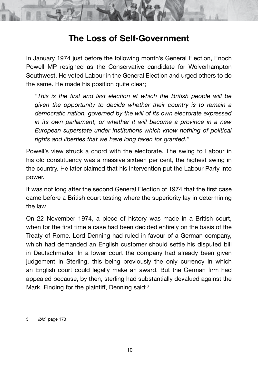

#### **The Loss of Self-Government**

In January 1974 just before the following month's General Election, Enoch Powell MP resigned as the Conservative candidate for Wolverhampton Southwest. He voted Labour in the General Election and urged others to do the same. He made his position quite clear;

*"This is the first and last election at which the British people will be given the opportunity to decide whether their country is to remain a democratic nation, governed by the will of its own electorate expressed in its own parliament, or whether it will become a province in a new European superstate under institutions which know nothing of political rights and liberties that we have long taken for granted."*

Powell's view struck a chord with the electorate. The swing to Labour in his old constituency was a massive sixteen per cent, the highest swing in the country. He later claimed that his intervention put the Labour Party into power.

It was not long after the second General Election of 1974 that the first case came before a British court testing where the superiority lay in determining the law.

On 22 November 1974, a piece of history was made in a British court, when for the first time a case had been decided entirely on the basis of the Treaty of Rome. Lord Denning had ruled in favour of a German company, which had demanded an English customer should settle his disputed bill in Deutschmarks. In a lower court the company had already been given judgement in Sterling, this being previously the only currency in which an English court could legally make an award. But the German firm had appealed because, by then, sterling had substantially devalued against the Mark. Finding for the plaintiff, Denning said;<sup>3</sup>

<sup>3</sup> *Ibid*, page 173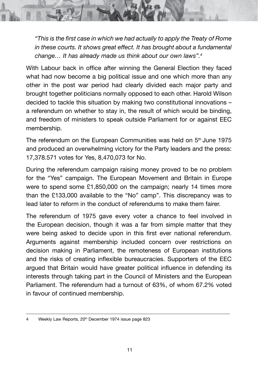*"This is the first case in which we had actually to apply the Treaty of Rome in these courts. It shows great effect. It has brought about a fundamental change… It has already made us think about our own laws".4*

With Labour back in office after winning the General Election they faced what had now become a big political issue and one which more than any other in the post war period had clearly divided each major party and brought together politicians normally opposed to each other. Harold Wilson decided to tackle this situation by making two constitutional innovations – a referendum on whether to stay in, the result of which would be binding, and freedom of ministers to speak outside Parliament for or against EEC membership.

The referendum on the European Communities was held on  $5<sup>th</sup>$  June 1975 and produced an overwhelming victory for the Party leaders and the press: 17,378.571 votes for Yes, 8,470,073 for No.

During the referendum campaign raising money proved to be no problem for the "Yes" campaign. The European Movement and Britain in Europe were to spend some £1,850,000 on the campaign; nearly 14 times more than the £133,000 available to the "No" camp". This discrepancy was to lead later to reform in the conduct of referendums to make them fairer.

The referendum of 1975 gave every voter a chance to feel involved in the European decision, though it was a far from simple matter that they were being asked to decide upon in this first ever national referendum. Arguments against membership included concern over restrictions on decision making in Parliament, the remoteness of European institutions and the risks of creating inflexible bureaucracies. Supporters of the EEC argued that Britain would have greater political influence in defending its interests through taking part in the Council of Ministers and the European Parliament. The referendum had a turnout of 63%, of whom 67.2% voted in favour of continued membership.

<sup>4</sup> Weekly Law Reports, 20<sup>th</sup> December 1974 issue page 823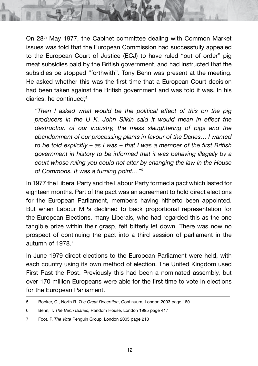On 28th May 1977, the Cabinet committee dealing with Common Market issues was told that the European Commission had successfully appealed to the European Court of Justice (ECJ) to have ruled "out of order" pig meat subsidies paid by the British government, and had instructed that the subsidies be stopped "forthwith". Tony Benn was present at the meeting. He asked whether this was the first time that a European Court decision had been taken against the British government and was told it was. In his diaries, he continued:<sup>5</sup>

*"Then I asked what would be the political effect of this on the pig producers in the U K. John Silkin said it would mean in effect the destruction of our industry, the mass slaughtering of pigs and the abandonment of our processing plants in favour of the Danes… I wanted to be told explicitly – as I was – that I was a member of the first British government in history to be informed that it was behaving illegally by a court whose ruling you could not alter by changing the law in the House of Commons. It was a turning point…"6*

In 1977 the Liberal Party and the Labour Party formed a pact which lasted for eighteen months. Part of the pact was an agreement to hold direct elections for the European Parliament, members having hitherto been appointed. But when Labour MPs declined to back proportional representation for the European Elections, many Liberals, who had regarded this as the one tangible prize within their grasp, felt bitterly let down. There was now no prospect of continuing the pact into a third session of parliament in the autumn of 1978.7

In June 1979 direct elections to the European Parliament were held, with each country using its own method of election. The United Kingdom used First Past the Post. Previously this had been a nominated assembly, but over 170 million Europeans were able for the first time to vote in elections for the European Parliament.

<sup>5</sup> Booker, C., North R. *The Great Deception*, Continuum, London 2003 page 180

<sup>6</sup> Benn, T. *The Benn Diaries*, Random House, London 1995 page 417

<sup>7</sup> Foot, P. *The Vote* Penguin Group, London 2005 page 210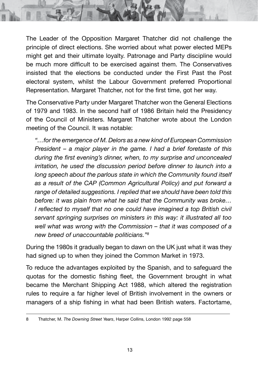The Leader of the Opposition Margaret Thatcher did not challenge the principle of direct elections. She worried about what power elected MEPs might get and their ultimate loyalty. Patronage and Party discipline would be much more difficult to be exercised against them. The Conservatives insisted that the elections be conducted under the First Past the Post electoral system, whilst the Labour Government preferred Proportional Representation. Margaret Thatcher, not for the first time, got her way.

The Conservative Party under Margaret Thatcher won the General Elections of 1979 and 1983. In the second half of 1986 Britain held the Presidency of the Council of Ministers. Margaret Thatcher wrote about the London meeting of the Council. It was notable:

*"…for the emergence of M. Delors as a new kind of European Commission President – a major player in the game. I had a brief foretaste of this during the first evening's dinner, when, to my surprise and unconcealed irritation, he used the discussion period before dinner to launch into a long speech about the parlous state in which the Community found itself as a result of the CAP (Common Agricultural Policy) and put forward a range of detailed suggestions. I replied that we should have been told this before: it was plain from what he said that the Community was broke… I* reflected to myself that no one could have imagined a top British civil *servant springing surprises on ministers in this way: it illustrated all too well what was wrong with the Commission – that it was composed of a new breed of unaccountable politicians."8*

During the 1980s it gradually began to dawn on the UK just what it was they had signed up to when they joined the Common Market in 1973.

To reduce the advantages exploited by the Spanish, and to safeguard the quotas for the domestic fishing fleet, the Government brought in what became the Merchant Shipping Act 1988, which altered the registration rules to require a far higher level of British involvement in the owners or managers of a ship fishing in what had been British waters. Factortame,

<sup>8</sup> Thatcher, M. *The Downing Street Years*, Harper Collins, London 1992 page 558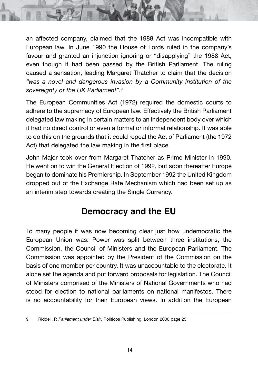an affected company, claimed that the 1988 Act was incompatible with European law. In June 1990 the House of Lords ruled in the company's favour and granted an injunction ignoring or "disapplying" the 1988 Act, even though it had been passed by the British Parliament. The ruling caused a sensation, leading Margaret Thatcher to claim that the decision *"was a novel and dangerous invasion by a Community institution of the sovereignty of the UK Parliament".*<sup>9</sup>

The European Communities Act (1972) required the domestic courts to adhere to the supremacy of European law. Effectively the British Parliament delegated law making in certain matters to an independent body over which it had no direct control or even a formal or informal relationship. It was able to do this on the grounds that it could repeal the Act of Parliament (the 1972 Act) that delegated the law making in the first place.

John Major took over from Margaret Thatcher as Prime Minister in 1990. He went on to win the General Election of 1992, but soon thereafter Europe began to dominate his Premiership. In September 1992 the United Kingdom dropped out of the Exchange Rate Mechanism which had been set up as an interim step towards creating the Single Currency.

#### **Democracy and the EU**

To many people it was now becoming clear just how undemocratic the European Union was. Power was split between three institutions, the Commission, the Council of Ministers and the European Parliament. The Commission was appointed by the President of the Commission on the basis of one member per country. It was unaccountable to the electorate. It alone set the agenda and put forward proposals for legislation. The Council of Ministers comprised of the Ministers of National Governments who had stood for election to national parliaments on national manifestos. There is no accountability for their European views. In addition the European

<sup>9</sup> Riddell, P. *Parliament under Blair*, Politicos Publishing, London 2000 page 25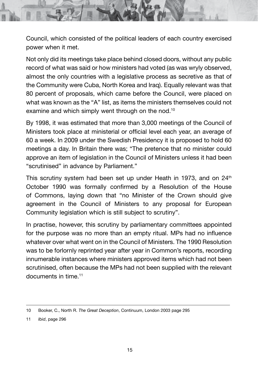Council, which consisted of the political leaders of each country exercised power when it met.

Not only did its meetings take place behind closed doors, without any public record of what was said or how ministers had voted (as was wryly observed, almost the only countries with a legislative process as secretive as that of the Community were Cuba, North Korea and Iraq). Equally relevant was that 80 percent of proposals, which came before the Council, were placed on what was known as the "A" list, as items the ministers themselves could not examine and which simply went through on the nod.<sup>10</sup>

By 1998, it was estimated that more than 3,000 meetings of the Council of Ministers took place at ministerial or official level each year, an average of 60 a week. In 2009 under the Swedish Presidency it is proposed to hold 60 meetings a day. In Britain there was; "The pretence that no minister could approve an item of legislation in the Council of Ministers unless it had been "scrutinised" in advance by Parliament."

This scrutiny system had been set up under Heath in 1973, and on  $24<sup>th</sup>$ October 1990 was formally confirmed by a Resolution of the House of Commons, laying down that "no Minister of the Crown should give agreement in the Council of Ministers to any proposal for European Community legislation which is still subject to scrutiny".

In practise, however, this scrutiny by parliamentary committees appointed for the purpose was no more than an empty ritual. MPs had no influence whatever over what went on in the Council of Ministers. The 1990 Resolution was to be forlornly reprinted year after year in Common's reports, recording innumerable instances where ministers approved items which had not been scrutinised, often because the MPs had not been supplied with the relevant documents in time.<sup>11</sup>

<sup>10</sup> Booker, C., North R. *The Great Deception*, Continuum, London 2003 page 295

<sup>11</sup> *Ibid*, page 296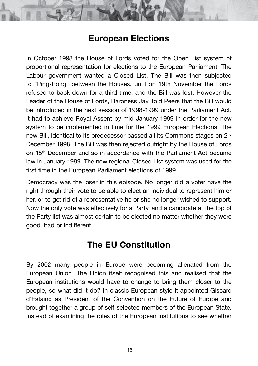#### **European Elections**

In October 1998 the House of Lords voted for the Open List system of proportional representation for elections to the European Parliament. The Labour government wanted a Closed List. The Bill was then subjected to "Ping-Pong" between the Houses, until on 19th November the Lords refused to back down for a third time, and the Bill was lost. However the Leader of the House of Lords, Baroness Jay, told Peers that the Bill would be introduced in the next session of 1998-1999 under the Parliament Act. It had to achieve Royal Assent by mid-January 1999 in order for the new system to be implemented in time for the 1999 European Elections. The new Bill, identical to its predecessor passed all its Commons stages on 2nd December 1998. The Bill was then rejected outright by the House of Lords on 15th December and so in accordance with the Parliament Act became law in January 1999. The new regional Closed List system was used for the first time in the European Parliament elections of 1999.

Democracy was the loser in this episode. No longer did a voter have the right through their vote to be able to elect an individual to represent him or her, or to get rid of a representative he or she no longer wished to support. Now the only vote was effectively for a Party, and a candidate at the top of the Party list was almost certain to be elected no matter whether they were good, bad or indifferent.

#### **The EU Constitution**

By 2002 many people in Europe were becoming alienated from the European Union. The Union itself recognised this and realised that the European institutions would have to change to bring them closer to the people, so what did it do? In classic European style it appointed Giscard d'Estaing as President of the Convention on the Future of Europe and brought together a group of self-selected members of the European State. Instead of examining the roles of the European institutions to see whether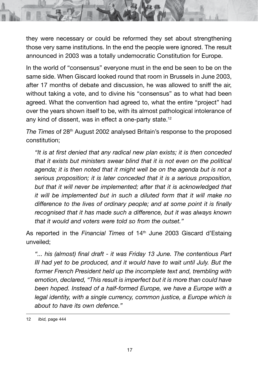they were necessary or could be reformed they set about strengthening those very same institutions. In the end the people were ignored. The result announced in 2003 was a totally undemocratic Constitution for Europe.

In the world of "consensus" everyone must in the end be seen to be on the same side. When Giscard looked round that room in Brussels in June 2003, after 17 months of debate and discussion, he was allowed to sniff the air, without taking a vote, and to divine his "consensus" as to what had been agreed. What the convention had agreed to, what the entire "project" had over the years shown itself to be, with its almost pathological intolerance of any kind of dissent, was in effect a one-party state.<sup>12</sup>

*The Times* of 28<sup>th</sup> August 2002 analysed Britain's response to the proposed constitution;

*"It is at first denied that any radical new plan exists; it is then conceded that it exists but ministers swear blind that it is not even on the political agenda; it is then noted that it might well be on the agenda but is not a serious proposition; it is later conceded that it is a serious proposition, but that it will never be implemented; after that it is acknowledged that it will be implemented but in such a diluted form that it will make no difference to the lives of ordinary people; and at some point it is finally recognised that it has made such a difference, but it was always known that it would and voters were told so from the outset."*

As reported in the *Financial Times* of 14<sup>th</sup> June 2003 Giscard d'Estaing unveiled;

"... his (almost) final draft - it was Friday 13 June. The contentious Part *III had yet to be produced, and it would have to wait until July. But the former French President held up the incomplete text and, trembling with emotion, declared, "This result is imperfect but it is more than could have been hoped. Instead of a half-formed Europe, we have a Europe with a legal identity, with a single currency, common justice, a Europe which is about to have its own defence."*

<sup>12</sup> *Ibid,* page 444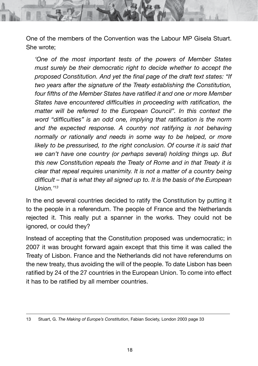One of the members of the Convention was the Labour MP Gisela Stuart. She wrote;

*'One of the most important tests of the powers of Member States must surely be their democratic right to decide whether to accept the proposed Constitution. And yet the final page of the draft text states: "If two years after the signature of the Treaty establishing the Constitution, four fifths of the Member States have ratified it and one or more Member States have encountered difficulties in proceeding with ratification, the matter will be referred to the European Council". In this context the word "difficulties" is an odd one, implying that ratification is the norm*  and the expected response. A country not ratifying is not behaving *normally or rationally and needs in some way to be helped, or more*  likely to be pressurised, to the right conclusion. Of course it is said that *we can't have one country (or perhaps several) holding things up. But this new Constitution repeals the Treaty of Rome and in that Treaty it is clear that repeal requires unanimity. It is not a matter of a country being difficult – that is what they all signed up to. It is the basis of the European Union.'13*

In the end several countries decided to ratify the Constitution by putting it to the people in a referendum. The people of France and the Netherlands rejected it. This really put a spanner in the works. They could not be ignored, or could they?

Instead of accepting that the Constitution proposed was undemocratic; in 2007 it was brought forward again except that this time it was called the Treaty of Lisbon. France and the Netherlands did not have referendums on the new treaty, thus avoiding the will of the people. To date Lisbon has been ratified by 24 of the 27 countries in the European Union. To come into effect it has to be ratified by all member countries.

<sup>13</sup> Stuart, G. *The Making of Europe's Constitution*, Fabian Society, London 2003 page 33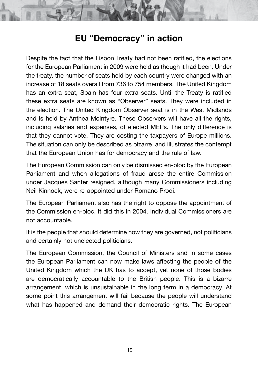#### **EU "Democracy" in action**

Despite the fact that the Lisbon Treaty had not been ratified, the elections for the European Parliament in 2009 were held as though it had been. Under the treaty, the number of seats held by each country were changed with an increase of 18 seats overall from 736 to 754 members. The United Kingdom has an extra seat, Spain has four extra seats. Until the Treaty is ratified these extra seats are known as "Observer" seats. They were included in the election. The United Kingdom Observer seat is in the West Midlands and is held by Anthea McIntyre. These Observers will have all the rights, including salaries and expenses, of elected MEPs. The only difference is that they cannot vote. They are costing the taxpayers of Europe millions. The situation can only be described as bizarre, and illustrates the contempt that the European Union has for democracy and the rule of law.

The European Commission can only be dismissed en-bloc by the European Parliament and when allegations of fraud arose the entire Commission under Jacques Santer resigned, although many Commissioners including Neil Kinnock, were re-appointed under Romano Prodi.

The European Parliament also has the right to oppose the appointment of the Commission en-bloc. It did this in 2004. Individual Commissioners are not accountable.

It is the people that should determine how they are governed, not politicians and certainly not unelected politicians.

The European Commission, the Council of Ministers and in some cases the European Parliament can now make laws affecting the people of the United Kingdom which the UK has to accept, yet none of those bodies are democratically accountable to the British people. This is a bizarre arrangement, which is unsustainable in the long term in a democracy. At some point this arrangement will fail because the people will understand what has happened and demand their democratic rights. The European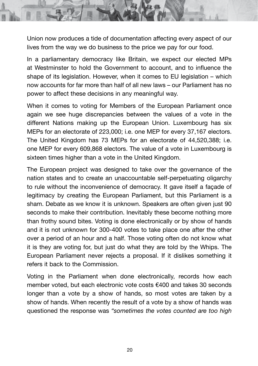Union now produces a tide of documentation affecting every aspect of our lives from the way we do business to the price we pay for our food.

In a parliamentary democracy like Britain, we expect our elected MPs at Westminster to hold the Government to account, and to influence the shape of its legislation. However, when it comes to EU legislation – which now accounts for far more than half of all new laws – our Parliament has no power to affect these decisions in any meaningful way.

When it comes to voting for Members of the European Parliament once again we see huge discrepancies between the values of a vote in the different Nations making up the European Union. Luxembourg has six MEPs for an electorate of 223,000; i.e. one MEP for every 37,167 electors. The United Kingdom has 73 MEPs for an electorate of 44,520,388; i.e. one MEP for every 609,868 electors. The value of a vote in Luxembourg is sixteen times higher than a vote in the United Kingdom.

The European project was designed to take over the governance of the nation states and to create an unaccountable self-perpetuating oligarchy to rule without the inconvenience of democracy. It gave itself a façade of legitimacy by creating the European Parliament, but this Parliament is a sham. Debate as we know it is unknown. Speakers are often given just 90 seconds to make their contribution. Inevitably these become nothing more than frothy sound bites. Voting is done electronically or by show of hands and it is not unknown for 300-400 votes to take place one after the other over a period of an hour and a half. Those voting often do not know what it is they are voting for, but just do what they are told by the Whips. The European Parliament never rejects a proposal. If it dislikes something it refers it back to the Commission.

Voting in the Parliament when done electronically, records how each member voted, but each electronic vote costs €400 and takes 30 seconds longer than a vote by a show of hands, so most votes are taken by a show of hands. When recently the result of a vote by a show of hands was questioned the response was *"sometimes the votes counted are too high*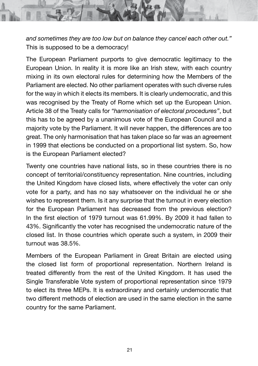*and sometimes they are too low but on balance they cancel each other out."* This is supposed to be a democracy!

The European Parliament purports to give democratic legitimacy to the European Union. In reality it is more like an Irish stew, with each country mixing in its own electoral rules for determining how the Members of the Parliament are elected. No other parliament operates with such diverse rules for the way in which it elects its members. It is clearly undemocratic, and this was recognised by the Treaty of Rome which set up the European Union. Article 38 of the Treaty calls for *"harmonisation of electoral procedures"*, but this has to be agreed by a unanimous vote of the European Council and a majority vote by the Parliament. It will never happen, the differences are too great. The only harmonisation that has taken place so far was an agreement in 1999 that elections be conducted on a proportional list system. So, how is the European Parliament elected?

Twenty one countries have national lists, so in these countries there is no concept of territorial/constituency representation. Nine countries, including the United Kingdom have closed lists, where effectively the voter can only vote for a party, and has no say whatsoever on the individual he or she wishes to represent them. Is it any surprise that the turnout in every election for the European Parliament has decreased from the previous election? In the first election of 1979 turnout was 61.99%. By 2009 it had fallen to 43%. Significantly the voter has recognised the undemocratic nature of the closed list. In those countries which operate such a system, in 2009 their turnout was 38.5%.

Members of the European Parliament in Great Britain are elected using the closed list form of proportional representation. Northern Ireland is treated differently from the rest of the United Kingdom. It has used the Single Transferable Vote system of proportional representation since 1979 to elect its three MEPs. It is extraordinary and certainly undemocratic that two different methods of election are used in the same election in the same country for the same Parliament.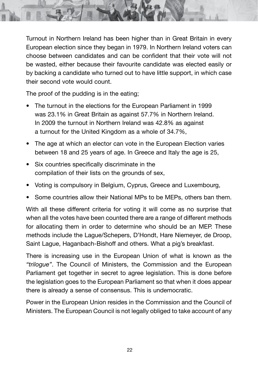Turnout in Northern Ireland has been higher than in Great Britain in every European election since they began in 1979. In Northern Ireland voters can choose between candidates and can be confident that their vote will not be wasted, either because their favourite candidate was elected easily or by backing a candidate who turned out to have little support, in which case their second vote would count.

The proof of the pudding is in the eating;

- The turnout in the elections for the European Parliament in 1999 was 23.1% in Great Britain as against 57.7% in Northern Ireland. In 2009 the turnout in Northern Ireland was 42.8% as against a turnout for the United Kingdom as a whole of 34.7%,
- The age at which an elector can vote in the European Election varies between 18 and 25 years of age. In Greece and Italy the age is 25,
- Six countries specifically discriminate in the compilation of their lists on the grounds of sex,
- Voting is compulsory in Belgium, Cyprus, Greece and Luxembourg,
- Some countries allow their National MPs to be MEPs, others ban them.

With all these different criteria for voting it will come as no surprise that when all the votes have been counted there are a range of different methods for allocating them in order to determine who should be an MEP. These methods include the Lague/Schepers, D'Hondt, Hare Niemeyer, de Droop, Saint Lague, Haganbach-Bishoff and others. What a pig's breakfast.

There is increasing use in the European Union of what is known as the *"trilogue"*. The Council of Ministers, the Commission and the European Parliament get together in secret to agree legislation. This is done before the legislation goes to the European Parliament so that when it does appear there is already a sense of consensus. This is undemocratic.

Power in the European Union resides in the Commission and the Council of Ministers. The European Council is not legally obliged to take account of any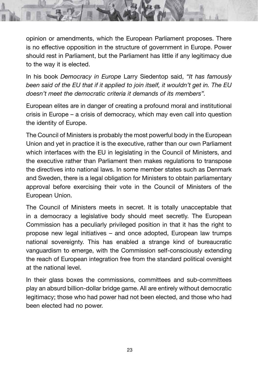opinion or amendments, which the European Parliament proposes. There is no effective opposition in the structure of government in Europe. Power should rest in Parliament, but the Parliament has little if any legitimacy due to the way it is elected.

In his book *Democracy in Europe* Larry Siedentop said, *"It has famously been said of the EU that if it applied to join itself, it wouldn't get in. The EU doesn't meet the democratic criteria it demands of its members".*

European elites are in danger of creating a profound moral and institutional crisis in Europe – a crisis of democracy, which may even call into question the identity of Europe.

The Council of Ministers is probably the most powerful body in the European Union and yet in practice it is the executive, rather than our own Parliament which interfaces with the EU in legislating in the Council of Ministers, and the executive rather than Parliament then makes regulations to transpose the directives into national laws. In some member states such as Denmark and Sweden, there is a legal obligation for Ministers to obtain parliamentary approval before exercising their vote in the Council of Ministers of the European Union.

The Council of Ministers meets in secret. It is totally unacceptable that in a democracy a legislative body should meet secretly. The European Commission has a peculiarly privileged position in that it has the right to propose new legal initiatives – and once adopted, European law trumps national sovereignty. This has enabled a strange kind of bureaucratic vanguardism to emerge, with the Commission self-consciously extending the reach of European integration free from the standard political oversight at the national level.

In their glass boxes the commissions, committees and sub-committees play an absurd billion-dollar bridge game. All are entirely without democratic legitimacy; those who had power had not been elected, and those who had been elected had no power.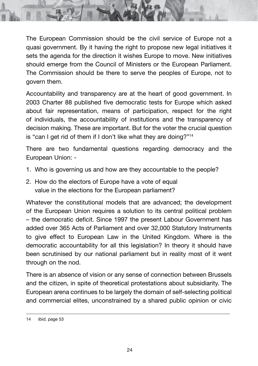The European Commission should be the civil service of Europe not a quasi government. By it having the right to propose new legal initiatives it sets the agenda for the direction it wishes Europe to move. New initiatives should emerge from the Council of Ministers or the European Parliament. The Commission should be there to serve the peoples of Europe, not to govern them.

Accountability and transparency are at the heart of good government. In 2003 Charter 88 published five democratic tests for Europe which asked about fair representation, means of participation, respect for the right of individuals, the accountability of institutions and the transparency of decision making. These are important. But for the voter the crucial question is "can I get rid of them if I don't like what they are doing?"14

There are two fundamental questions regarding democracy and the European Union: -

- 1. Who is governing us and how are they accountable to the people?
- 2. How do the electors of Europe have a vote of equal value in the elections for the European parliament?

Whatever the constitutional models that are advanced; the development of the European Union requires a solution to its central political problem – the democratic deficit. Since 1997 the present Labour Government has added over 365 Acts of Parliament and over 32,000 Statutory Instruments to give effect to European Law in the United Kingdom. Where is the democratic accountability for all this legislation? In theory it should have been scrutinised by our national parliament but in reality most of it went through on the nod.

There is an absence of vision or any sense of connection between Brussels and the citizen, in spite of theoretical protestations about subsidiarity. The European arena continues to be largely the domain of self-selecting political and commercial elites, unconstrained by a shared public opinion or civic

<sup>14</sup> *Ibid*, page 53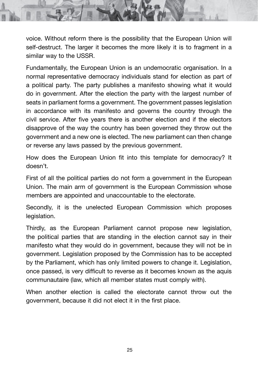voice. Without reform there is the possibility that the European Union will self-destruct. The larger it becomes the more likely it is to fragment in a similar way to the USSR.

Fundamentally, the European Union is an undemocratic organisation. In a normal representative democracy individuals stand for election as part of a political party. The party publishes a manifesto showing what it would do in government. After the election the party with the largest number of seats in parliament forms a government. The government passes legislation in accordance with its manifesto and governs the country through the civil service. After five years there is another election and if the electors disapprove of the way the country has been governed they throw out the government and a new one is elected. The new parliament can then change or reverse any laws passed by the previous government.

How does the European Union fit into this template for democracy? It doesn't.

First of all the political parties do not form a government in the European Union. The main arm of government is the European Commission whose members are appointed and unaccountable to the electorate.

Secondly, it is the unelected European Commission which proposes legislation.

Thirdly, as the European Parliament cannot propose new legislation, the political parties that are standing in the election cannot say in their manifesto what they would do in government, because they will not be in government. Legislation proposed by the Commission has to be accepted by the Parliament, which has only limited powers to change it. Legislation, once passed, is very difficult to reverse as it becomes known as the aquis communautaire (law, which all member states must comply with).

When another election is called the electorate cannot throw out the government, because it did not elect it in the first place.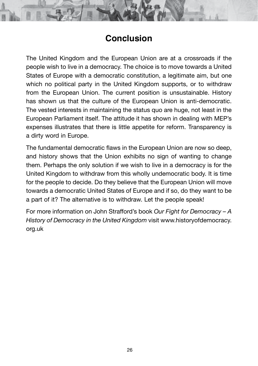#### **Conclusion**

The United Kingdom and the European Union are at a crossroads if the people wish to live in a democracy. The choice is to move towards a United States of Europe with a democratic constitution, a legitimate aim, but one which no political party in the United Kingdom supports, or to withdraw from the European Union. The current position is unsustainable. History has shown us that the culture of the European Union is anti-democratic. The vested interests in maintaining the status quo are huge, not least in the European Parliament itself. The attitude it has shown in dealing with MEP's expenses illustrates that there is little appetite for reform. Transparency is a dirty word in Europe.

The fundamental democratic flaws in the European Union are now so deep, and history shows that the Union exhibits no sign of wanting to change them. Perhaps the only solution if we wish to live in a democracy is for the United Kingdom to withdraw from this wholly undemocratic body. It is time for the people to decide. Do they believe that the European Union will move towards a democratic United States of Europe and if so, do they want to be a part of it? The alternative is to withdraw. Let the people speak!

For more information on John Strafford's book *Our Fight for Democracy – A History of Democracy in the United Kingdom* visit www.historyofdemocracy. org.uk